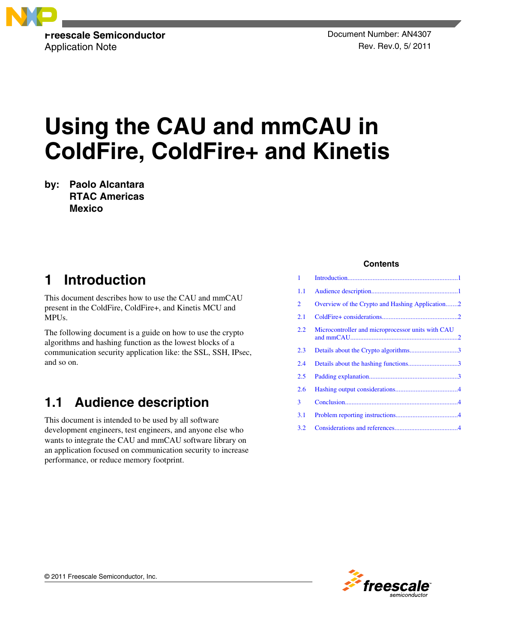

# **Using the CAU and mmCAU in ColdFire, ColdFire+ and Kinetis**

**by: Paolo Alcantara RTAC Americas Mexico**

# **1 Introduction**

This document describes how to use the CAU and mmCAU present in the ColdFire, ColdFire+, and Kinetis MCU and MPUs.

The following document is a guide on how to use the crypto algorithms and hashing function as the lowest blocks of a communication security application like: the SSL, SSH, IPsec, and so on.

# **1.1 Audience description**

This document is intended to be used by all software development engineers, test engineers, and anyone else who wants to integrate the CAU and mmCAU software library on an application focused on communication security to increase performance, or reduce memory footprint.

### **Contents**

| 1              |                                                   |  |
|----------------|---------------------------------------------------|--|
| 1.1            |                                                   |  |
| $\overline{2}$ | Overview of the Crypto and Hashing Application2   |  |
| 2.1            |                                                   |  |
| 2.2            | Microcontroller and microprocessor units with CAU |  |
| 2.3            |                                                   |  |
| 2.4            |                                                   |  |
| 2.5            |                                                   |  |
| 2.6            |                                                   |  |
| 3              |                                                   |  |
| 3.1            |                                                   |  |
| 3.2            |                                                   |  |

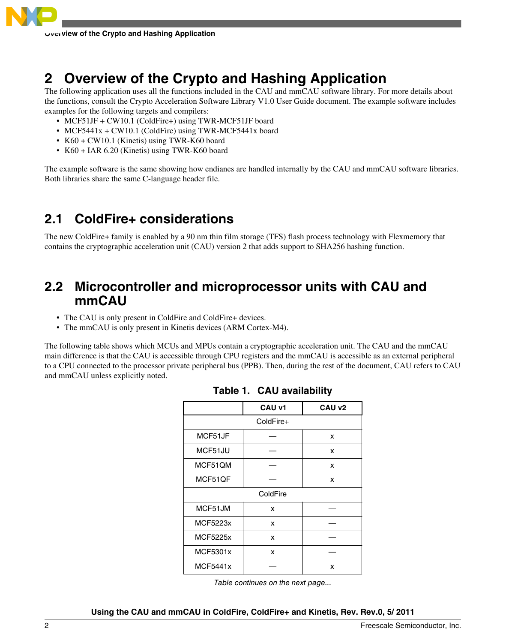<span id="page-1-0"></span>

# **2 Overview of the Crypto and Hashing Application**

The following application uses all the functions included in the CAU and mmCAU software library. For more details about the functions, consult the Crypto Acceleration Software Library V1.0 User Guide document. The example software includes examples for the following targets and compilers:

- MCF51JF + CW10.1 (ColdFire+) using TWR-MCF51JF board
- MCF5441x + CW10.1 (ColdFire) using TWR-MCF5441x board
- K60 + CW10.1 (Kinetis) using TWR-K60 board
- K60 + IAR 6.20 (Kinetis) using TWR-K60 board

The example software is the same showing how endianes are handled internally by the CAU and mmCAU software libraries. Both libraries share the same C-language header file.

# **2.1 ColdFire+ considerations**

The new ColdFire+ family is enabled by a 90 nm thin film storage (TFS) flash process technology with Flexmemory that contains the cryptographic acceleration unit (CAU) version 2 that adds support to SHA256 hashing function.

### **2.2 Microcontroller and microprocessor units with CAU and mmCAU**

- The CAU is only present in ColdFire and ColdFire+ devices.
- The mmCAU is only present in Kinetis devices (ARM Cortex-M4).

The following table shows which MCUs and MPUs contain a cryptographic acceleration unit. The CAU and the mmCAU main difference is that the CAU is accessible through CPU registers and the mmCAU is accessible as an external peripheral to a CPU connected to the processor private peripheral bus (PPB). Then, during the rest of the document, CAU refers to CAU and mmCAU unless explicitly noted.

|           | CAU v1 | CAU v2 |  |  |  |  |
|-----------|--------|--------|--|--|--|--|
| ColdFire+ |        |        |  |  |  |  |
| MCF51JF   |        | x      |  |  |  |  |
| MCF51JU   |        | x      |  |  |  |  |
| MCF51QM   |        | x      |  |  |  |  |
| MCF51QF   |        | x      |  |  |  |  |
| ColdFire  |        |        |  |  |  |  |
| MCF51JM   | x      |        |  |  |  |  |
| MCF5223x  | x      |        |  |  |  |  |
| MCF5225x  | x      |        |  |  |  |  |
| MCF5301x  | x      |        |  |  |  |  |
| MCF5441x  |        | x      |  |  |  |  |

|  |  | Table 1. CAU availability |
|--|--|---------------------------|
|--|--|---------------------------|

*Table continues on the next page...*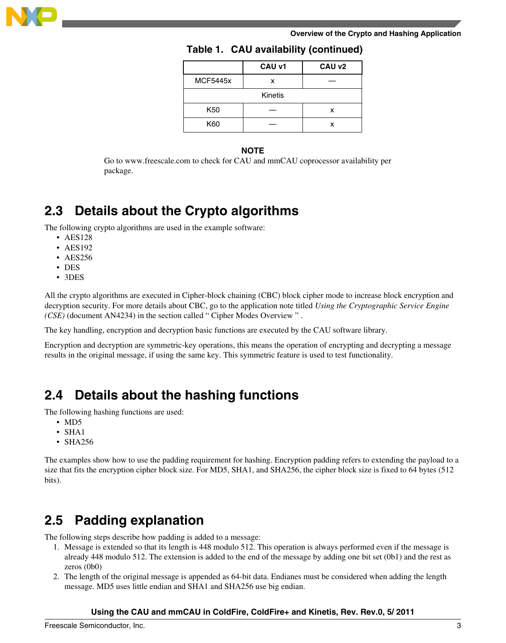<span id="page-2-0"></span>

#### **Overview of the Crypto and Hashing Application**

|                 | CAU v1 | CAU v2 |  |  |  |  |
|-----------------|--------|--------|--|--|--|--|
| <b>MCF5445x</b> | x      |        |  |  |  |  |
| Kinetis         |        |        |  |  |  |  |
| K50             |        | x      |  |  |  |  |
| K60             |        |        |  |  |  |  |

### **Table 1. CAU availability (continued)**

### **NOTE**

Go to www.freescale.com to check for CAU and mmCAU coprocessor availability per package.

### **2.3 Details about the Crypto algorithms**

The following crypto algorithms are used in the example software:

- AES128
- AES192
- AES256
- DES
- 3DES

All the crypto algorithms are executed in Cipher-block chaining (CBC) block cipher mode to increase block encryption and decryption security. For more details about CBC, go to the application note titled *Using the Cryptographic Service Engine (CSE)* (document AN4234) in the section called " Cipher Modes Overview " .

The key handling, encryption and decryption basic functions are executed by the CAU software library.

Encryption and decryption are symmetric-key operations, this means the operation of encrypting and decrypting a message results in the original message, if using the same key. This symmetric feature is used to test functionality.

## **2.4 Details about the hashing functions**

The following hashing functions are used:

- MD5
- SHA1
- SHA256

The examples show how to use the padding requirement for hashing. Encryption padding refers to extending the payload to a size that fits the encryption cipher block size. For MD5, SHA1, and SHA256, the cipher block size is fixed to 64 bytes (512 bits).

## **2.5 Padding explanation**

The following steps describe how padding is added to a message:

- 1. Message is extended so that its length is 448 modulo 512. This operation is always performed even if the message is already 448 modulo 512. The extension is added to the end of the message by adding one bit set (0b1) and the rest as zeros (0b0)
- 2. The length of the original message is appended as 64-bit data. Endianes must be considered when adding the length message. MD5 uses little endian and SHA1 and SHA256 use big endian.

### **Using the CAU and mmCAU in ColdFire, ColdFire+ and Kinetis, Rev. Rev.0, 5/ 2011**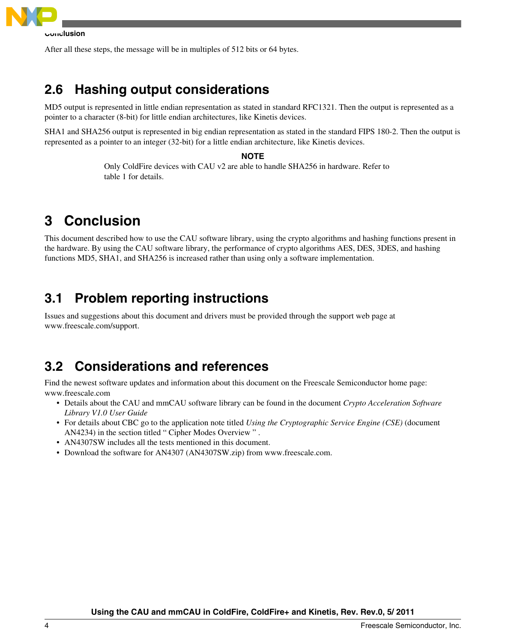<span id="page-3-0"></span>

After all these steps, the message will be in multiples of 512 bits or 64 bytes.

## **2.6 Hashing output considerations**

MD5 output is represented in little endian representation as stated in standard RFC1321. Then the output is represented as a pointer to a character (8-bit) for little endian architectures, like Kinetis devices.

SHA1 and SHA256 output is represented in big endian representation as stated in the standard FIPS 180-2. Then the output is represented as a pointer to an integer (32-bit) for a little endian architecture, like Kinetis devices.

### **NOTE**

Only ColdFire devices with CAU v2 are able to handle SHA256 in hardware. Refer to table 1 for details.

# **3 Conclusion**

This document described how to use the CAU software library, using the crypto algorithms and hashing functions present in the hardware. By using the CAU software library, the performance of crypto algorithms AES, DES, 3DES, and hashing functions MD5, SHA1, and SHA256 is increased rather than using only a software implementation.

### **3.1 Problem reporting instructions**

Issues and suggestions about this document and drivers must be provided through the support web page at www.freescale.com/support.

### **3.2 Considerations and references**

Find the newest software updates and information about this document on the Freescale Semiconductor home page: www.freescale.com

- Details about the CAU and mmCAU software library can be found in the document *Crypto Acceleration Software Library V1.0 User Guide*
- For details about CBC go to the application note titled *Using the Cryptographic Service Engine (CSE)* (document AN4234) in the section titled " Cipher Modes Overview " .
- AN4307SW includes all the tests mentioned in this document.
- Download the software for AN4307 (AN4307SW.zip) from www.freescale.com.